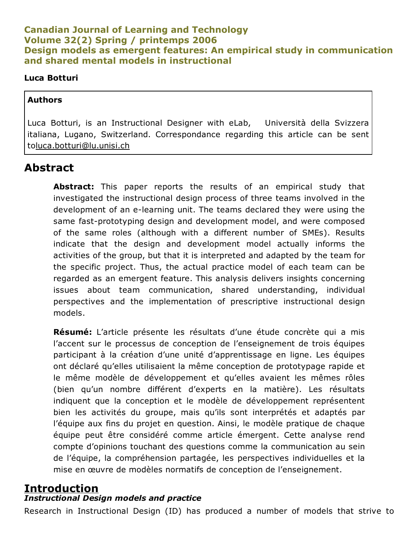## Canadian Journal of Learning and Technology Volume 32(2) Spring / printemps 2006 Design models as emergent features: An empirical study in communication and shared mental models in instructional

#### Luca Botturi

#### Authors

Luca Botturi, is an Instructional Designer with eLab, Università della Svizzera italiana, Lugano, Switzerland. Correspondance regarding this article can be sent t[oluca.botturi@lu.unisi.ch](mailto:luca.botturi@lu.unisi.ch)

## Abstract

Abstract: This paper reports the results of an empirical study that investigated the instructional design process of three teams involved in the development of an e-learning unit. The teams declared they were using the same fast-prototyping design and development model, and were composed of the same roles (although with a different number of SMEs). Results indicate that the design and development model actually informs the activities of the group, but that it is interpreted and adapted by the team for the specific project. Thus, the actual practice model of each team can be regarded as an emergent feature. This analysis delivers insights concerning issues about team communication, shared understanding, individual perspectives and the implementation of prescriptive instructional design models.

Résumé: L'article présente les résultats d'une étude concrète qui a mis l'accent sur le processus de conception de l'enseignement de trois équipes participant à la création d'une unité d'apprentissage en ligne. Les équipes ont déclaré qu'elles utilisaient la même conception de prototypage rapide et le même modèle de développement et qu'elles avaient les mêmes rôles (bien qu'un nombre différent d'experts en la matière). Les résultats indiquent que la conception et le modèle de développement représentent bien les activités du groupe, mais qu'ils sont interprétés et adaptés par l'équipe aux fins du projet en question. Ainsi, le modèle pratique de chaque équipe peut être considéré comme article émergent. Cette analyse rend compte d'opinions touchant des questions comme la communication au sein de l'équipe, la compréhension partagée, les perspectives individuelles et la mise en œuvre de modèles normatifs de conception de l'enseignement.

### Introduction *Instructional Design models and practice*

Research in Instructional Design (ID) has produced a number of models that strive to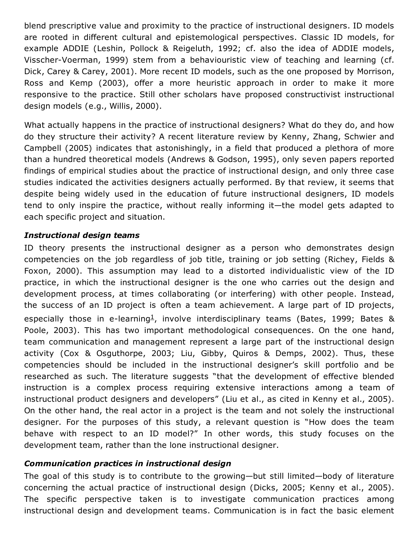blend prescriptive value and proximity to the practice of instructional designers. ID models are rooted in different cultural and epistemological perspectives. Classic ID models, for example ADDIE (Leshin, Pollock & Reigeluth, 1992; cf. also the idea of ADDIE models, Visscher-Voerman, 1999) stem from a behaviouristic view of teaching and learning (cf. Dick, Carey & Carey, 2001). More recent ID models, such as the one proposed by Morrison, Ross and Kemp (2003), offer a more heuristic approach in order to make it more responsive to the practice. Still other scholars have proposed constructivist instructional design models (e.g., Willis, 2000).

What actually happens in the practice of instructional designers? What do they do, and how do they structure their activity? A recent literature review by Kenny, Zhang, Schwier and Campbell (2005) indicates that astonishingly, in a field that produced a plethora of more than a hundred theoretical models (Andrews & Godson, 1995), only seven papers reported findings of empirical studies about the practice of instructional design, and only three case studies indicated the activities designers actually performed. By that review, it seems that despite being widely used in the education of future instructional designers, ID models tend to only inspire the practice, without really informing it—the model gets adapted to each specific project and situation.

#### *Instructional design teams*

ID theory presents the instructional designer as a person who demonstrates design competencies on the job regardless of job title, training or job setting (Richey, Fields & Foxon, 2000). This assumption may lead to a distorted individualistic view of the ID practice, in which the instructional designer is the one who carries out the design and development process, at times collaborating (or interfering) with other people. Instead, the success of an ID project is often a team achievement. A large part of ID projects, especially those in e-learning<sup>[1](http://www.cjlt.ca/index.php/cjlt/article/view/50/47#_ftn1)</sup>, involve interdisciplinary teams (Bates, 1999; Bates & Poole, 2003). This has two important methodological consequences. On the one hand, team communication and management represent a large part of the instructional design activity (Cox & Osguthorpe, 2003; Liu, Gibby, Quiros & Demps, 2002). Thus, these competencies should be included in the instructional designer's skill portfolio and be researched as such. The literature suggests "that the development of effective blended instruction is a complex process requiring extensive interactions among a team of instructional product designers and developers" (Liu et al., as cited in Kenny et al., 2005). On the other hand, the real actor in a project is the team and not solely the instructional designer. For the purposes of this study, a relevant question is "How does the team behave with respect to an ID model?" In other words, this study focuses on the development team, rather than the lone instructional designer.

#### *Communication practices in instructional design*

The goal of this study is to contribute to the growing—but still limited—body of literature concerning the actual practice of instructional design (Dicks, 2005; Kenny et al., 2005). The specific perspective taken is to investigate communication practices among instructional design and development teams. Communication is in fact the basic element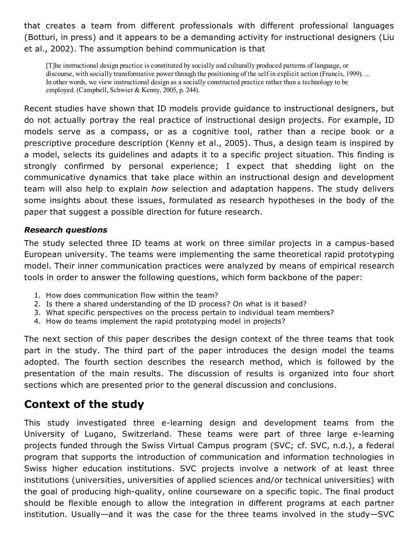that creates a team from different professionals with different professional languages (Botturi, in press) and it appears to be a demanding activity for instructional designers (Liu et al., 2002). The assumption behind communication is that

[T]he instructional design practice is constituted by socially and culturally produced patterns of language, or discourse, with socially transformative power through the positioning of the self in explicit action (Francis, 1999). ... In other words, we view instructional design as a socially constructed practice rather than a technology to be employed. (Campbell, Schwier & Kenny, 2005, p. 244).

Recent studies have shown that ID models provide guidance to instructional designers, but do not actually portray the real practice of instructional design projects. For example, ID models serve as a compass, or as a cognitive tool, rather than a recipe book or a prescriptive procedure description (Kenny et al., 2005). Thus, a design team is inspired by a model, selects its guidelines and adapts it to a specific project situation. This finding is strongly confirmed by personal experience; I expect that shedding light on the communicative dynamics that take place within an instructional design and development team will also help to explain *how* selection and adaptation happens. The study delivers some insights about these issues, formulated as research hypotheses in the body of the paper that suggest a possible direction for future research.

#### *Research questions*

The study selected three ID teams at work on three similar projects in a campus-based European university. The teams were implementing the same theoretical rapid prototyping model. Their inner communication practices were analyzed by means of empirical research tools in order to answer the following questions, which form backbone of the paper:

- 1. How does communication flow within the team?
- 2. Is there a shared understanding of the ID process? On what is it based?
- 3. What specific perspectives on the process pertain to individual team members?
- 4. How do teams implement the rapid prototyping model in projects?

The next section of this paper describes the design context of the three teams that took part in the study. The third part of the paper introduces the design model the teams adopted. The fourth section describes the research method, which is followed by the presentation of the main results. The discussion of results is organized into four short sections which are presented prior to the general discussion and conclusions.

# Context of the study

This study investigated three e-learning design and development teams from the University of Lugano, Switzerland. These teams were part of three large e-learning projects funded through the Swiss Virtual Campus program (SVC; cf. SVC, n.d.), a federal program that supports the introduction of communication and information technologies in Swiss higher education institutions. SVC projects involve a network of at least three institutions (universities, universities of applied sciences and/or technical universities) with the goal of producing high-quality, online courseware on a specific topic. The final product should be flexible enough to allow the integration in different programs at each partner institution. Usually—and it was the case for the three teams involved in the study—SVC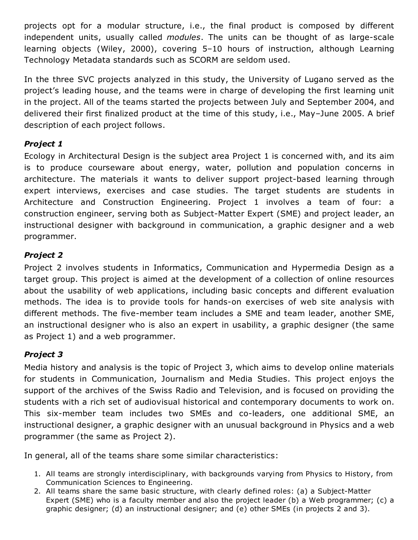projects opt for a modular structure, i.e., the final product is composed by different independent units, usually called *modules*. The units can be thought of as large-scale learning objects (Wiley, 2000), covering 5–10 hours of instruction, although Learning Technology Metadata standards such as SCORM are seldom used.

In the three SVC projects analyzed in this study, the University of Lugano served as the project's leading house, and the teams were in charge of developing the first learning unit in the project. All of the teams started the projects between July and September 2004, and delivered their first finalized product at the time of this study, i.e., May–June 2005. A brief description of each project follows.

## *Project 1*

Ecology in Architectural Design is the subject area Project 1 is concerned with, and its aim is to produce courseware about energy, water, pollution and population concerns in architecture. The materials it wants to deliver support project-based learning through expert interviews, exercises and case studies. The target students are students in Architecture and Construction Engineering. Project 1 involves a team of four: a construction engineer, serving both as Subject-Matter Expert (SME) and project leader, an instructional designer with background in communication, a graphic designer and a web programmer.

## *Project 2*

Project 2 involves students in Informatics, Communication and Hypermedia Design as a target group. This project is aimed at the development of a collection of online resources about the usability of web applications, including basic concepts and different evaluation methods. The idea is to provide tools for hands-on exercises of web site analysis with different methods. The five-member team includes a SME and team leader, another SME, an instructional designer who is also an expert in usability, a graphic designer (the same as Project 1) and a web programmer.

## *Project 3*

Media history and analysis is the topic of Project 3, which aims to develop online materials for students in Communication, Journalism and Media Studies. This project enjoys the support of the archives of the Swiss Radio and Television, and is focused on providing the students with a rich set of audiovisual historical and contemporary documents to work on. This six-member team includes two SMEs and co-leaders, one additional SME, an instructional designer, a graphic designer with an unusual background in Physics and a web programmer (the same as Project 2).

In general, all of the teams share some similar characteristics:

- 1. All teams are strongly interdisciplinary, with backgrounds varying from Physics to History, from Communication Sciences to Engineering.
- 2. All teams share the same basic structure, with clearly defined roles: (a) a Subject-Matter Expert (SME) who is a faculty member and also the project leader (b) a Web programmer; (c) a graphic designer; (d) an instructional designer; and (e) other SMEs (in projects 2 and 3).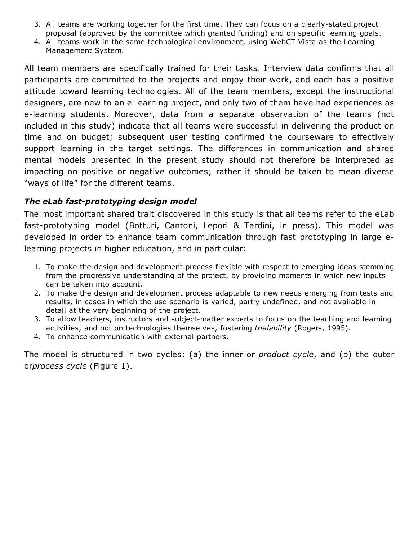- 3. All teams are working together for the first time. They can focus on a clearly-stated project proposal (approved by the committee which granted funding) and on specific learning goals.
- 4. All teams work in the same technological environment, using WebCT Vista as the Learning Management System.

All team members are specifically trained for their tasks. Interview data confirms that all participants are committed to the projects and enjoy their work, and each has a positive attitude toward learning technologies. All of the team members, except the instructional designers, are new to an e-learning project, and only two of them have had experiences as e-learning students. Moreover, data from a separate observation of the teams (not included in this study) indicate that all teams were successful in delivering the product on time and on budget; subsequent user testing confirmed the courseware to effectively support learning in the target settings. The differences in communication and shared mental models presented in the present study should not therefore be interpreted as impacting on positive or negative outcomes; rather it should be taken to mean diverse "ways of life" for the different teams.

#### *The eLab fast-prototyping design model*

The most important shared trait discovered in this study is that all teams refer to the eLab fast-prototyping model (Botturi, Cantoni, Lepori & Tardini, in press). This model was developed in order to enhance team communication through fast prototyping in large elearning projects in higher education, and in particular:

- 1. To make the design and development process flexible with respect to emerging ideas stemming from the progressive understanding of the project, by providing moments in which new inputs can be taken into account.
- 2. To make the design and development process adaptable to new needs emerging from tests and results, in cases in which the use scenario is varied, partly undefined, and not available in detail at the very beginning of the project.
- 3. To allow teachers, instructors and subject-matter experts to focus on the teaching and learning activities, and not on technologies themselves, fostering *trialability* (Rogers, 1995).
- 4. To enhance communication with external partners.

The model is structured in two cycles: (a) the inner or *product cycle*, and (b) the outer or*process cycle* (Figure 1).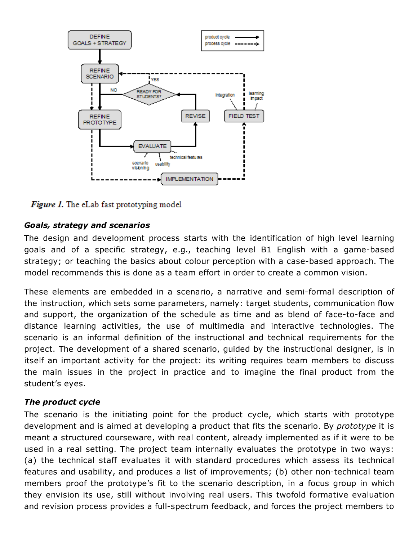

**Figure 1.** The eLab fast prototyping model

## *Goals, strategy and scenarios*

The design and development process starts with the identification of high level learning goals and of a specific strategy, e.g., teaching level B1 English with a game-based strategy; or teaching the basics about colour perception with a case-based approach. The model recommends this is done as a team effort in order to create a common vision.

These elements are embedded in a scenario, a narrative and semi-formal description of the instruction, which sets some parameters, namely: target students, communication flow and support, the organization of the schedule as time and as blend of face-to-face and distance learning activities, the use of multimedia and interactive technologies. The scenario is an informal definition of the instructional and technical requirements for the project. The development of a shared scenario, guided by the instructional designer, is in itself an important activity for the project: its writing requires team members to discuss the main issues in the project in practice and to imagine the final product from the student's eyes.

#### *The product cycle*

The scenario is the initiating point for the product cycle, which starts with prototype development and is aimed at developing a product that fits the scenario. By *prototype* it is meant a structured courseware, with real content, already implemented as if it were to be used in a real setting. The project team internally evaluates the prototype in two ways: (a) the technical staff evaluates it with standard procedures which assess its technical features and usability, and produces a list of improvements; (b) other non-technical team members proof the prototype's fit to the scenario description, in a focus group in which they envision its use, still without involving real users. This twofold formative evaluation and revision process provides a full-spectrum feedback, and forces the project members to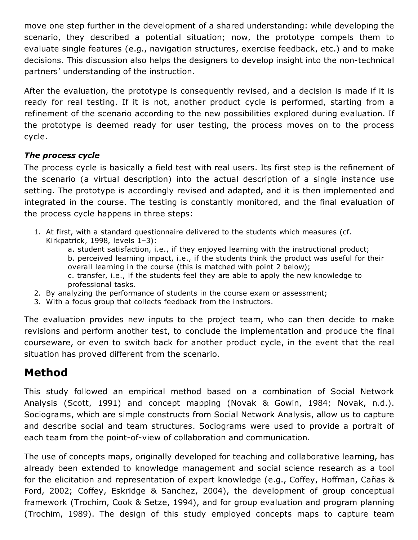move one step further in the development of a shared understanding: while developing the scenario, they described a potential situation; now, the prototype compels them to evaluate single features (e.g., navigation structures, exercise feedback, etc.) and to make decisions. This discussion also helps the designers to develop insight into the non-technical partners' understanding of the instruction.

After the evaluation, the prototype is consequently revised, and a decision is made if it is ready for real testing. If it is not, another product cycle is performed, starting from a refinement of the scenario according to the new possibilities explored during evaluation. If the prototype is deemed ready for user testing, the process moves on to the process cycle.

### *The process cycle*

The process cycle is basically a field test with real users. Its first step is the refinement of the scenario (a virtual description) into the actual description of a single instance use setting. The prototype is accordingly revised and adapted, and it is then implemented and integrated in the course. The testing is constantly monitored, and the final evaluation of the process cycle happens in three steps:

- 1. At first, with a standard questionnaire delivered to the students which measures (cf. Kirkpatrick, 1998, levels 1–3):
	- a. student satisfaction, i.e., if they enjoyed learning with the instructional product; b. perceived learning impact, i.e., if the students think the product was useful for their overall learning in the course (this is matched with point 2 below); c. transfer, i.e., if the students feel they are able to apply the new knowledge to professional tasks.
- 2. By analyzing the performance of students in the course exam or assessment;
- 3. With a focus group that collects feedback from the instructors.

The evaluation provides new inputs to the project team, who can then decide to make revisions and perform another test, to conclude the implementation and produce the final courseware, or even to switch back for another product cycle, in the event that the real situation has proved different from the scenario.

# Method

This study followed an empirical method based on a combination of Social Network Analysis (Scott, 1991) and concept mapping (Novak & Gowin, 1984; Novak, n.d.). Sociograms, which are simple constructs from Social Network Analysis, allow us to capture and describe social and team structures. Sociograms were used to provide a portrait of each team from the point-of-view of collaboration and communication.

The use of concepts maps, originally developed for teaching and collaborative learning, has already been extended to knowledge management and social science research as a tool for the elicitation and representation of expert knowledge (e.g., Coffey, Hoffman, Cañas & Ford, 2002; Coffey, Eskridge & Sanchez, 2004), the development of group conceptual framework (Trochim, Cook & Setze, 1994), and for group evaluation and program planning (Trochim, 1989). The design of this study employed concepts maps to capture team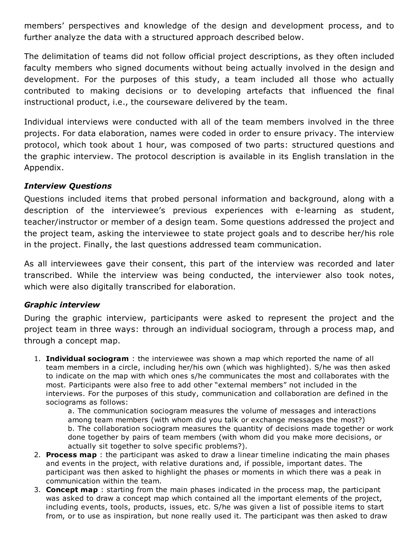members' perspectives and knowledge of the design and development process, and to further analyze the data with a structured approach described below.

The delimitation of teams did not follow official project descriptions, as they often included faculty members who signed documents without being actually involved in the design and development. For the purposes of this study, a team included all those who actually contributed to making decisions or to developing artefacts that influenced the final instructional product, i.e., the courseware delivered by the team.

Individual interviews were conducted with all of the team members involved in the three projects. For data elaboration, names were coded in order to ensure privacy. The interview protocol, which took about 1 hour, was composed of two parts: structured questions and the graphic interview. The protocol description is available in its English translation in the Appendix.

#### *Interview Questions*

Questions included items that probed personal information and background, along with a description of the interviewee's previous experiences with e-learning as student, teacher/instructor or member of a design team. Some questions addressed the project and the project team, asking the interviewee to state project goals and to describe her/his role in the project. Finally, the last questions addressed team communication.

As all interviewees gave their consent, this part of the interview was recorded and later transcribed. While the interview was being conducted, the interviewer also took notes, which were also digitally transcribed for elaboration.

## *Graphic interview*

During the graphic interview, participants were asked to represent the project and the project team in three ways: through an individual sociogram, through a process map, and through a concept map.

1. Individual sociogram: the interviewee was shown a map which reported the name of all team members in a circle, including her/his own (which was highlighted). S/he was then asked to indicate on the map with which ones s/he communicates the most and collaborates with the most. Participants were also free to add other "external members" not included in the interviews. For the purposes of this study, communication and collaboration are defined in the sociograms as follows:

a. The communication sociogram measures the volume of messages and interactions among team members (with whom did you talk or exchange messages the most?) b. The collaboration sociogram measures the quantity of decisions made together or work done together by pairs of team members (with whom did you make more decisions, or actually sit together to solve specific problems?).

- 2. Process map : the participant was asked to draw a linear timeline indicating the main phases and events in the project, with relative durations and, if possible, important dates. The participant was then asked to highlight the phases or moments in which there was a peak in communication within the team.
- 3. **Concept map** : starting from the main phases indicated in the process map, the participant was asked to draw a concept map which contained all the important elements of the project, including events, tools, products, issues, etc. S/he was given a list of possible items to start from, or to use as inspiration, but none really used it. The participant was then asked to draw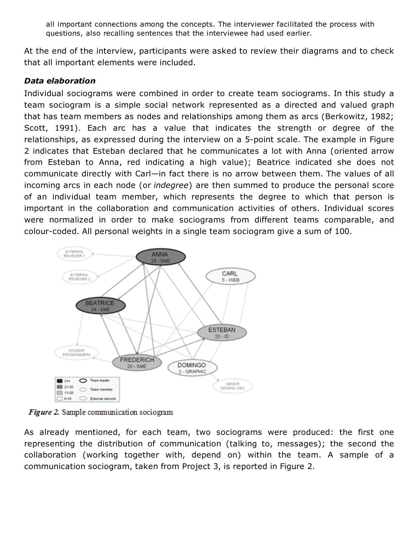all important connections among the concepts. The interviewer facilitated the process with questions, also recalling sentences that the interviewee had used earlier.

At the end of the interview, participants were asked to review their diagrams and to check that all important elements were included.

#### *Data elaboration*

Individual sociograms were combined in order to create team sociograms. In this study a team sociogram is a simple social network represented as a directed and valued graph that has team members as nodes and relationships among them as arcs (Berkowitz, 1982; Scott, 1991). Each arc has a value that indicates the strength or degree of the relationships, as expressed during the interview on a 5-point scale. The example in Figure 2 indicates that Esteban declared that he communicates a lot with Anna (oriented arrow from Esteban to Anna, red indicating a high value); Beatrice indicated she does not communicate directly with Carl—in fact there is no arrow between them. The values of all incoming arcs in each node (or *indegree*) are then summed to produce the personal score of an individual team member, which represents the degree to which that person is important in the collaboration and communication activities of others. Individual scores were normalized in order to make sociograms from different teams comparable, and colour-coded. All personal weights in a single team sociogram give a sum of 100.



Figure 2. Sample communication sociogram

As already mentioned, for each team, two sociograms were produced: the first one representing the distribution of communication (talking to, messages); the second the collaboration (working together with, depend on) within the team. A sample of a communication sociogram, taken from Project 3, is reported in Figure 2.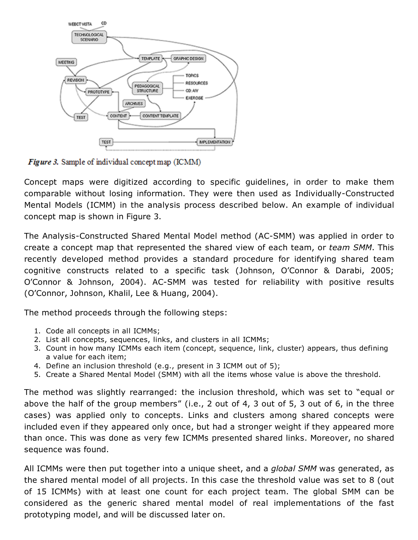

**Figure 3.** Sample of individual concept map (ICMM)

Concept maps were digitized according to specific guidelines, in order to make them comparable without losing information. They were then used as Individually-Constructed Mental Models (ICMM) in the analysis process described below. An example of individual concept map is shown in Figure 3.

The Analysis-Constructed Shared Mental Model method (AC-SMM) was applied in order to create a concept map that represented the shared view of each team, or *team SMM*. This recently developed method provides a standard procedure for identifying shared team cognitive constructs related to a specific task (Johnson, O'Connor & Darabi, 2005; O'Connor & Johnson, 2004). AC-SMM was tested for reliability with positive results (O'Connor, Johnson, Khalil, Lee & Huang, 2004).

The method proceeds through the following steps:

- 1. Code all concepts in all ICMMs;
- 2. List all concepts, sequences, links, and clusters in all ICMMs;
- 3. Count in how many ICMMs each item (concept, sequence, link, cluster) appears, thus defining a value for each item;
- 4. Define an inclusion threshold (e.g., present in 3 ICMM out of 5);
- 5. Create a Shared Mental Model (SMM) with all the items whose value is above the threshold.

The method was slightly rearranged: the inclusion threshold, which was set to "equal or above the half of the group members" (i.e., 2 out of 4, 3 out of 5, 3 out of 6, in the three cases) was applied only to concepts. Links and clusters among shared concepts were included even if they appeared only once, but had a stronger weight if they appeared more than once. This was done as very few ICMMs presented shared links. Moreover, no shared sequence was found.

All ICMMs were then put together into a unique sheet, and a *global SMM* was generated, as the shared mental model of all projects. In this case the threshold value was set to 8 (out of 15 ICMMs) with at least one count for each project team. The global SMM can be considered as the generic shared mental model of real implementations of the fast prototyping model, and will be discussed later on.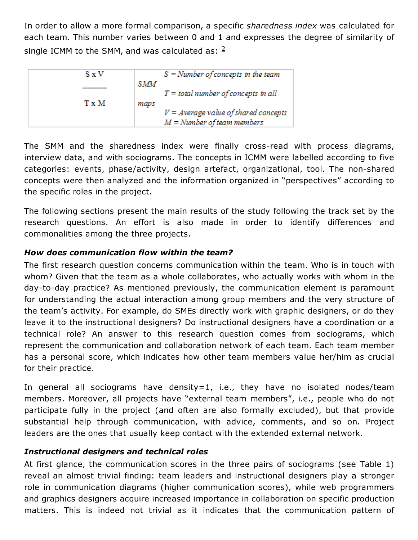In order to allow a more formal comparison, a specific *sharedness index* was calculated for each team. This number varies between 0 and 1 and expresses the degree of similarity of single ICMM to the SMM, and was calculated as:  $2$ 

| S x V |      | $S =$ Number of concepts in the team   |
|-------|------|----------------------------------------|
|       | SMM  |                                        |
|       |      | $T =$ total number of concepts in all  |
| T x M | maps |                                        |
|       |      | $V = Average value of shared concepts$ |
|       |      | $M =$ Number of team members           |

The SMM and the sharedness index were finally cross-read with process diagrams, interview data, and with sociograms. The concepts in ICMM were labelled according to five categories: events, phase/activity, design artefact, organizational, tool. The non-shared concepts were then analyzed and the information organized in "perspectives" according to the specific roles in the project.

The following sections present the main results of the study following the track set by the research questions. An effort is also made in order to identify differences and commonalities among the three projects.

### *How does communication flow within the team?*

The first research question concerns communication within the team. Who is in touch with whom? Given that the team as a whole collaborates, who actually works with whom in the day-to-day practice? As mentioned previously, the communication element is paramount for understanding the actual interaction among group members and the very structure of the team's activity. For example, do SMEs directly work with graphic designers, or do they leave it to the instructional designers? Do instructional designers have a coordination or a technical role? An answer to this research question comes from sociograms, which represent the communication and collaboration network of each team. Each team member has a personal score, which indicates how other team members value her/him as crucial for their practice.

In general all sociograms have density=1, i.e., they have no isolated nodes/team members. Moreover, all projects have "external team members", i.e., people who do not participate fully in the project (and often are also formally excluded), but that provide substantial help through communication, with advice, comments, and so on. Project leaders are the ones that usually keep contact with the extended external network.

#### *Instructional designers and technical roles*

At first glance, the communication scores in the three pairs of sociograms (see Table 1) reveal an almost trivial finding: team leaders and instructional designers play a stronger role in communication diagrams (higher communication scores), while web programmers and graphics designers acquire increased importance in collaboration on specific production matters. This is indeed not trivial as it indicates that the communication pattern of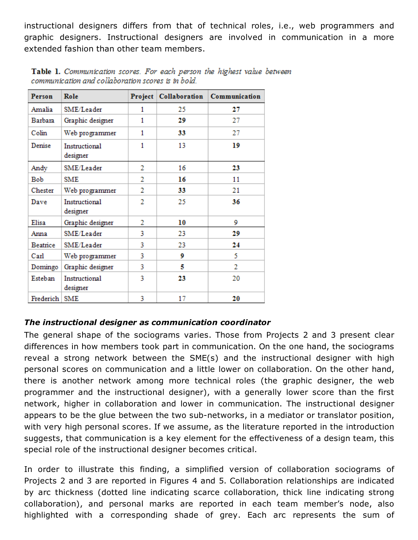instructional designers differs from that of technical roles, i.e., web programmers and graphic designers. Instructional designers are involved in communication in a more extended fashion than other team members.

| Person    | Role                      | Project | Collaboration | Communication |
|-----------|---------------------------|---------|---------------|---------------|
| Amalia    | SME/Leader                | 1       | 25            | 27            |
| Barbara   | Graphic designer          | 1       | 29            | 27            |
| Colin     | Web programmer            | 1       | 33            | 27            |
| Denise    | Instructional<br>designer | 1       | 13            | 19            |
| Andy      | SME/Leader                | 2       | 16            | 23            |
| Bob       | <b>SME</b>                | 2       | 16            | 11            |
| Chester   | Web programmer            | 2       | 33            | 21            |
| Dave      | Instructional<br>designer | 2       | 25            | 36            |
| Elisa     | Graphic designer          | 2       | 10            | 9             |
| Anna      | SME/Leader                | 3       | 23            | 29            |
| Beatrice  | SME/Leader                | 3       | 23            | 24            |
| Carl      | Web programmer            | 3       | 9             | 5             |
| Domingo   | Graphic designer          | 3       | 5             | 2             |
| Esteban   | Instructional<br>designer | 3       | 23            | 20            |
| Frederich | <b>SME</b>                | 3       | 17            | 20            |

Table 1. Communication scores. For each person the highest value between communication and collaboration scores is in bold.

## *The instructional designer as communication coordinator*

The general shape of the sociograms varies. Those from Projects 2 and 3 present clear differences in how members took part in communication. On the one hand, the sociograms reveal a strong network between the SME(s) and the instructional designer with high personal scores on communication and a little lower on collaboration. On the other hand, there is another network among more technical roles (the graphic designer, the web programmer and the instructional designer), with a generally lower score than the first network, higher in collaboration and lower in communication. The instructional designer appears to be the glue between the two sub-networks, in a mediator or translator position, with very high personal scores. If we assume, as the literature reported in the introduction suggests, that communication is a key element for the effectiveness of a design team, this special role of the instructional designer becomes critical.

In order to illustrate this finding, a simplified version of collaboration sociograms of Projects 2 and 3 are reported in Figures 4 and 5. Collaboration relationships are indicated by arc thickness (dotted line indicating scarce collaboration, thick line indicating strong collaboration), and personal marks are reported in each team member's node, also highlighted with a corresponding shade of grey. Each arc represents the sum of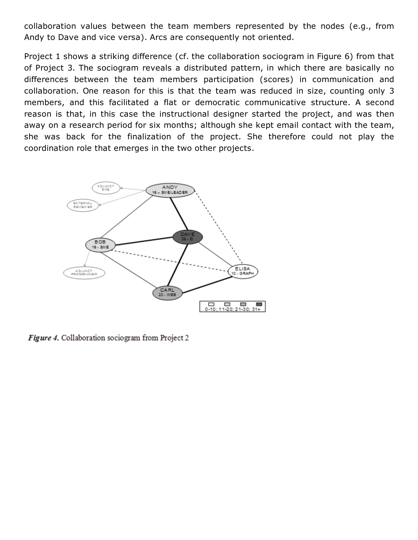collaboration values between the team members represented by the nodes (e.g., from Andy to Dave and vice versa). Arcs are consequently not oriented.

Project 1 shows a striking difference (cf. the collaboration sociogram in Figure 6) from that of Project 3. The sociogram reveals a distributed pattern, in which there are basically no differences between the team members participation (scores) in communication and collaboration. One reason for this is that the team was reduced in size, counting only 3 members, and this facilitated a flat or democratic communicative structure. A second reason is that, in this case the instructional designer started the project, and was then away on a research period for six months; although she kept email contact with the team, she was back for the finalization of the project. She therefore could not play the coordination role that emerges in the two other projects.



**Figure 4.** Collaboration sociogram from Project 2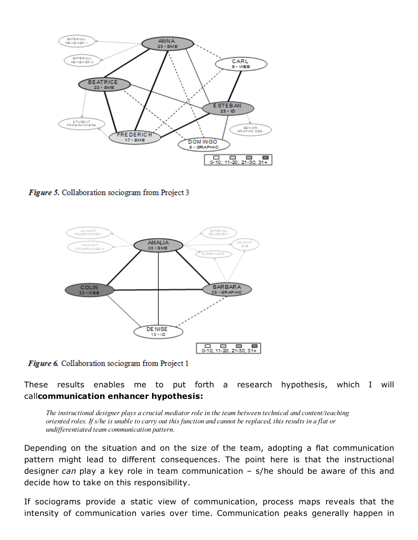

Figure 5. Collaboration sociogram from Project 3



Figure 6. Collaboration sociogram from Project 1

These results enables me to put forth a research hypothesis, which I will callcommunication enhancer hypothesis:

The instructional designer plays a crucial mediator role in the team between technical and content/teaching oriented roles. If s/he is unable to carry out this function and cannot be replaced, this results in a flat or undifferentiated team communication pattern.

Depending on the situation and on the size of the team, adopting a flat communication pattern might lead to different consequences. The point here is that the instructional designer *can* play a key role in team communication – s/he should be aware of this and decide how to take on this responsibility.

If sociograms provide a static view of communication, process maps reveals that the intensity of communication varies over time. Communication peaks generally happen in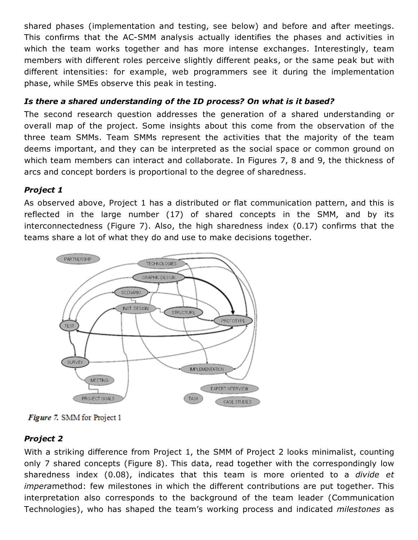shared phases (implementation and testing, see below) and before and after meetings. This confirms that the AC-SMM analysis actually identifies the phases and activities in which the team works together and has more intense exchanges. Interestingly, team members with different roles perceive slightly different peaks, or the same peak but with different intensities: for example, web programmers see it during the implementation phase, while SMEs observe this peak in testing.

## *Is there a shared understanding of the ID process? On what is it based?*

The second research question addresses the generation of a shared understanding or overall map of the project. Some insights about this come from the observation of the three team SMMs. Team SMMs represent the activities that the majority of the team deems important, and they can be interpreted as the social space or common ground on which team members can interact and collaborate. In Figures 7, 8 and 9, the thickness of arcs and concept borders is proportional to the degree of sharedness.

## *Project 1*

As observed above, Project 1 has a distributed or flat communication pattern, and this is reflected in the large number (17) of shared concepts in the SMM, and by its interconnectedness (Figure 7). Also, the high sharedness index (0.17) confirms that the teams share a lot of what they do and use to make decisions together.



**Figure 7.** SMM for Project 1

## *Project 2*

With a striking difference from Project 1, the SMM of Project 2 looks minimalist, counting only 7 shared concepts (Figure 8). This data, read together with the correspondingly low sharedness index (0.08), indicates that this team is more oriented to a *divide et impera*method: few milestones in which the different contributions are put together. This interpretation also corresponds to the background of the team leader (Communication Technologies), who has shaped the team's working process and indicated *milestones* as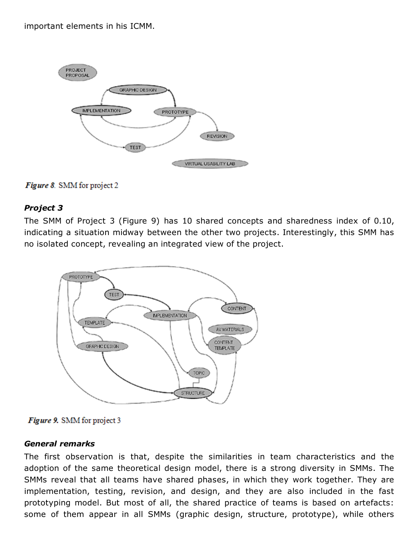important elements in his ICMM.





#### *Project 3*

The SMM of Project 3 (Figure 9) has 10 shared concepts and sharedness index of 0.10, indicating a situation midway between the other two projects. Interestingly, this SMM has no isolated concept, revealing an integrated view of the project.





#### *General remarks*

The first observation is that, despite the similarities in team characteristics and the adoption of the same theoretical design model, there is a strong diversity in SMMs. The SMMs reveal that all teams have shared phases, in which they work together. They are implementation, testing, revision, and design, and they are also included in the fast prototyping model. But most of all, the shared practice of teams is based on artefacts: some of them appear in all SMMs (graphic design, structure, prototype), while others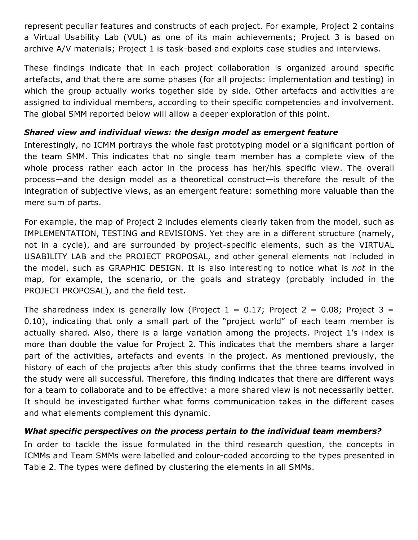represent peculiar features and constructs of each project. For example, Project 2 contains a Virtual Usability Lab (VUL) as one of its main achievements; Project 3 is based on archive A/V materials; Project 1 is task-based and exploits case studies and interviews.

These findings indicate that in each project collaboration is organized around specific artefacts, and that there are some phases (for all projects: implementation and testing) in which the group actually works together side by side. Other artefacts and activities are assigned to individual members, according to their specific competencies and involvement. The global SMM reported below will allow a deeper exploration of this point.

#### *Shared view and individual views: the design model as emergent feature*

Interestingly, no ICMM portrays the whole fast prototyping model or a significant portion of the team SMM. This indicates that no single team member has a complete view of the whole process rather each actor in the process has her/his specific view. The overall process—and the design model as a theoretical construct—is therefore the result of the integration of subjective views, as an emergent feature: something more valuable than the mere sum of parts.

For example, the map of Project 2 includes elements clearly taken from the model, such as IMPLEMENTATION, TESTING and REVISIONS. Yet they are in a different structure (namely, not in a cycle), and are surrounded by project-specific elements, such as the VIRTUAL USABILITY LAB and the PROJECT PROPOSAL, and other general elements not included in the model, such as GRAPHIC DESIGN. It is also interesting to notice what is *not* in the map, for example, the scenario, or the goals and strategy (probably included in the PROJECT PROPOSAL), and the field test.

The sharedness index is generally low (Project  $1 = 0.17$ ; Project  $2 = 0.08$ ; Project  $3 = 1$ 0.10), indicating that only a small part of the "project world" of each team member is actually shared. Also, there is a large variation among the projects. Project 1's index is more than double the value for Project 2. This indicates that the members share a larger part of the activities, artefacts and events in the project. As mentioned previously, the history of each of the projects after this study confirms that the three teams involved in the study were all successful. Therefore, this finding indicates that there are different ways for a team to collaborate and to be effective: a more shared view is not necessarily better. It should be investigated further what forms communication takes in the different cases and what elements complement this dynamic.

## *What specific perspectives on the process pertain to the individual team members?*

In order to tackle the issue formulated in the third research question, the concepts in ICMMs and Team SMMs were labelled and colour-coded according to the types presented in Table 2. The types were defined by clustering the elements in all SMMs.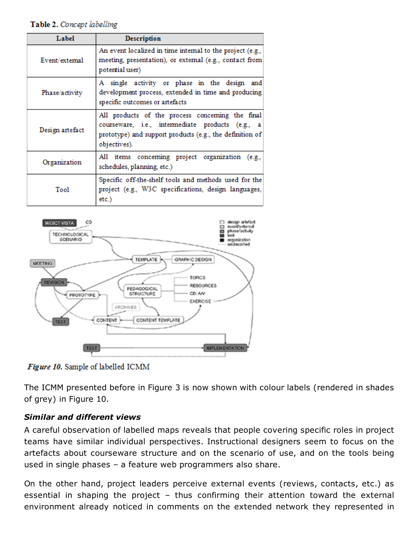#### Table 2. Concept labelling

| Label           | Description                                                                                                                                                                      |
|-----------------|----------------------------------------------------------------------------------------------------------------------------------------------------------------------------------|
| Event/external  | An event localized in time internal to the project (e.g.,<br>meeting, presentation), or extemal (e.g., contact from<br>potential user)                                           |
| Phase/activity  | A single activity or phase in the design<br>and<br>development process, extended in time and producing<br>specific outcomes or artefacts                                         |
| Design artefact | All products of the process concerning the final<br>courseware, i.e., intermediate products (e.g., a<br>prototype) and support products (e.g., the definition of<br>objectives). |
| Organization    | All items conceming project organization<br>(e.g.,<br>schedules, planning, etc.)                                                                                                 |
| Tool            | Specific off-the-shelf tools and methods used for the<br>project (e.g., W3C specifications, design languages,<br>etc.)                                                           |





The ICMM presented before in Figure 3 is now shown with colour labels (rendered in shades of grey) in Figure 10.

#### *Similar and different views*

A careful observation of labelled maps reveals that people covering specific roles in project teams have similar individual perspectives. Instructional designers seem to focus on the artefacts about courseware structure and on the scenario of use, and on the tools being used in single phases – a feature web programmers also share.

On the other hand, project leaders perceive external events (reviews, contacts, etc.) as essential in shaping the project – thus confirming their attention toward the external environment already noticed in comments on the extended network they represented in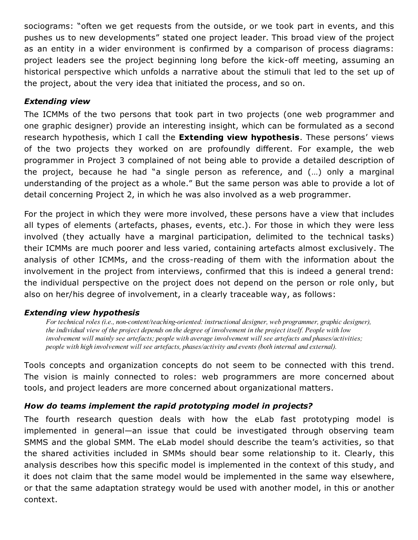sociograms: "often we get requests from the outside, or we took part in events, and this pushes us to new developments" stated one project leader. This broad view of the project as an entity in a wider environment is confirmed by a comparison of process diagrams: project leaders see the project beginning long before the kick-off meeting, assuming an historical perspective which unfolds a narrative about the stimuli that led to the set up of the project, about the very idea that initiated the process, and so on.

### *Extending view*

The ICMMs of the two persons that took part in two projects (one web programmer and one graphic designer) provide an interesting insight, which can be formulated as a second research hypothesis, which I call the **Extending view hypothesis**. These persons' views of the two projects they worked on are profoundly different. For example, the web programmer in Project 3 complained of not being able to provide a detailed description of the project, because he had "a single person as reference, and (…) only a marginal understanding of the project as a whole." But the same person was able to provide a lot of detail concerning Project 2, in which he was also involved as a web programmer.

For the project in which they were more involved, these persons have a view that includes all types of elements (artefacts, phases, events, etc.). For those in which they were less involved (they actually have a marginal participation, delimited to the technical tasks) their ICMMs are much poorer and less varied, containing artefacts almost exclusively. The analysis of other ICMMs, and the cross-reading of them with the information about the involvement in the project from interviews, confirmed that this is indeed a general trend: the individual perspective on the project does not depend on the person or role only, but also on her/his degree of involvement, in a clearly traceable way, as follows:

#### *Extending view hypothesis*

For technical roles (i.e., non-content/teaching-oriented: instructional designer, web programmer, graphic designer), the individual view of the project depends on the degree of involvement in the project itself. People with low involvement will mainly see artefacts; people with average involvement will see artefacts and phases/activities; people with high involvement will see artefacts, phases/activity and events (both internal and external).

Tools concepts and organization concepts do not seem to be connected with this trend. The vision is mainly connected to roles: web programmers are more concerned about tools, and project leaders are more concerned about organizational matters.

## *How do teams implement the rapid prototyping model in projects?*

The fourth research question deals with how the eLab fast prototyping model is implemented in general—an issue that could be investigated through observing team SMMS and the global SMM. The eLab model should describe the team's activities, so that the shared activities included in SMMs should bear some relationship to it. Clearly, this analysis describes how this specific model is implemented in the context of this study, and it does not claim that the same model would be implemented in the same way elsewhere, or that the same adaptation strategy would be used with another model, in this or another context.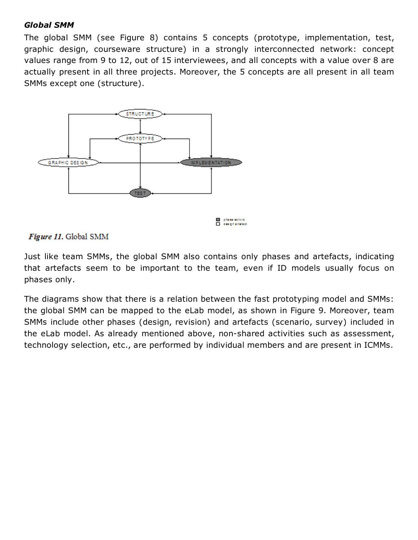#### *Global SMM*

The global SMM (see Figure 8) contains 5 concepts (prototype, implementation, test, graphic design, courseware structure) in a strongly interconnected network: concept values range from 9 to 12, out of 15 interviewees, and all concepts with a value over 8 are actually present in all three projects. Moreover, the 5 concepts are all present in all team SMMs except one (structure).



phenolectivity design artistact

### Figure 11. Global SMM

Just like team SMMs, the global SMM also contains only phases and artefacts, indicating that artefacts seem to be important to the team, even if ID models usually focus on phases only.

The diagrams show that there is a relation between the fast prototyping model and SMMs: the global SMM can be mapped to the eLab model, as shown in Figure 9. Moreover, team SMMs include other phases (design, revision) and artefacts (scenario, survey) included in the eLab model. As already mentioned above, non-shared activities such as assessment, technology selection, etc., are performed by individual members and are present in ICMMs.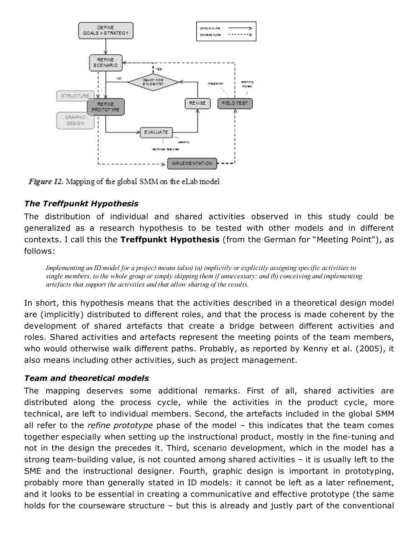

Figure 12. Mapping of the global SMM on the eLab model

## *The Treffpunkt Hypothesis*

The distribution of individual and shared activities observed in this study could be generalized as a research hypothesis to be tested with other models and in different contexts. I call this the Treffpunkt Hypothesis (from the German for "Meeting Point"), as follows:

Implementing an ID model for a project means (also) (a) implicitly or explicitly assigning specific activities to single members, to the whole group or simply skipping them if unnecessary; and (b) conceiving and implementing artefacts that support the activities and that allow sharing of the results.

In short, this hypothesis means that the activities described in a theoretical design model are (implicitly) distributed to different roles, and that the process is made coherent by the development of shared artefacts that create a bridge between different activities and roles. Shared activities and artefacts represent the meeting points of the team members, who would otherwise walk different paths. Probably, as reported by Kenny et al. (2005), it also means including other activities, such as project management.

## *Team and theoretical models*

The mapping deserves some additional remarks. First of all, shared activities are distributed along the process cycle, while the activities in the product cycle, more technical, are left to individual members. Second, the artefacts included in the global SMM all refer to the *refine prototype* phase of the model – this indicates that the team comes together especially when setting up the instructional product, mostly in the fine-tuning and not in the design the precedes it. Third, scenario development, which in the model has a strong team-building value, is not counted among shared activities  $-$  it is usually left to the SME and the instructional designer. Fourth, graphic design is important in prototyping, probably more than generally stated in ID models: it cannot be left as a later refinement, and it looks to be essential in creating a communicative and effective prototype (the same holds for the courseware structure – but this is already and justly part of the conventional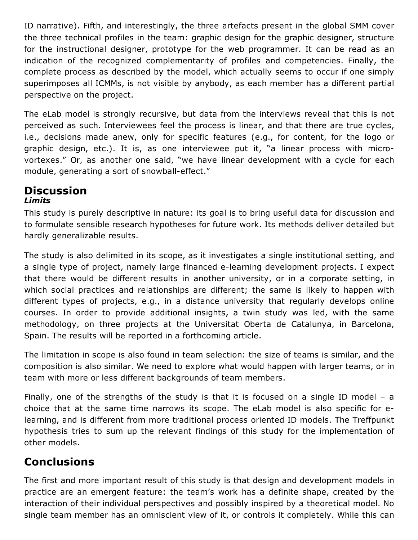ID narrative). Fifth, and interestingly, the three artefacts present in the global SMM cover the three technical profiles in the team: graphic design for the graphic designer, structure for the instructional designer, prototype for the web programmer. It can be read as an indication of the recognized complementarity of profiles and competencies. Finally, the complete process as described by the model, which actually seems to occur if one simply superimposes all ICMMs, is not visible by anybody, as each member has a different partial perspective on the project.

The eLab model is strongly recursive, but data from the interviews reveal that this is not perceived as such. Interviewees feel the process is linear, and that there are true cycles, i.e., decisions made anew, only for specific features (e.g., for content, for the logo or graphic design, etc.). It is, as one interviewee put it, "a linear process with microvortexes." Or, as another one said, "we have linear development with a cycle for each module, generating a sort of snowball-effect."

## **Discussion** *Limits*

This study is purely descriptive in nature: its goal is to bring useful data for discussion and to formulate sensible research hypotheses for future work. Its methods deliver detailed but hardly generalizable results.

The study is also delimited in its scope, as it investigates a single institutional setting, and a single type of project, namely large financed e-learning development projects. I expect that there would be different results in another university, or in a corporate setting, in which social practices and relationships are different; the same is likely to happen with different types of projects, e.g., in a distance university that regularly develops online courses. In order to provide additional insights, a twin study was led, with the same methodology, on three projects at the Universitat Oberta de Catalunya, in Barcelona, Spain. The results will be reported in a forthcoming article.

The limitation in scope is also found in team selection: the size of teams is similar, and the composition is also similar. We need to explore what would happen with larger teams, or in team with more or less different backgrounds of team members.

Finally, one of the strengths of the study is that it is focused on a single ID model – a choice that at the same time narrows its scope. The eLab model is also specific for elearning, and is different from more traditional process oriented ID models. The Treffpunkt hypothesis tries to sum up the relevant findings of this study for the implementation of other models.

# **Conclusions**

The first and more important result of this study is that design and development models in practice are an emergent feature: the team's work has a definite shape, created by the interaction of their individual perspectives and possibly inspired by a theoretical model. No single team member has an omniscient view of it, or controls it completely. While this can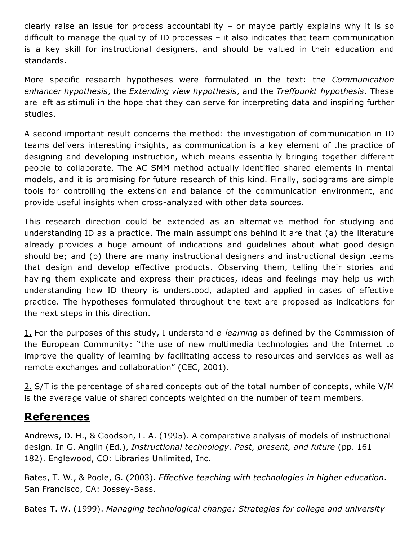clearly raise an issue for process accountability – or maybe partly explains why it is so difficult to manage the quality of ID processes – it also indicates that team communication is a key skill for instructional designers, and should be valued in their education and standards.

More specific research hypotheses were formulated in the text: the *Communication enhancer hypothesis*, the *Extending view hypothesis*, and the *Treffpunkt hypothesis*. These are left as stimuli in the hope that they can serve for interpreting data and inspiring further studies.

A second important result concerns the method: the investigation of communication in ID teams delivers interesting insights, as communication is a key element of the practice of designing and developing instruction, which means essentially bringing together different people to collaborate. The AC-SMM method actually identified shared elements in mental models, and it is promising for future research of this kind. Finally, sociograms are simple tools for controlling the extension and balance of the communication environment, and provide useful insights when cross-analyzed with other data sources.

This research direction could be extended as an alternative method for studying and understanding ID as a practice. The main assumptions behind it are that (a) the literature already provides a huge amount of indications and guidelines about what good design should be; and (b) there are many instructional designers and instructional design teams that design and develop effective products. Observing them, telling their stories and having them explicate and express their practices, ideas and feelings may help us with understanding how ID theory is understood, adapted and applied in cases of effective practice. The hypotheses formulated throughout the text are proposed as indications for the next steps in this direction.

[1.](http://www.cjlt.ca/index.php/cjlt/article/view/50/47#_ftnref1) For the purposes of this study, I understand *e-learning* as defined by the Commission of the European Community: "the use of new multimedia technologies and the Internet to improve the quality of learning by facilitating access to resources and services as well as remote exchanges and collaboration" (CEC, 2001).

[2.](http://www.cjlt.ca/index.php/cjlt/article/view/50/47#_ftnref2) S/T is the percentage of shared concepts out of the total number of concepts, while V/M is the average value of shared concepts weighted on the number of team members.

# References

Andrews, D. H., & Goodson, L. A. (1995). A comparative analysis of models of instructional design. In G. Anglin (Ed.), *Instructional technology. Past, present, and future* (pp. 161– 182). Englewood, CO: Libraries Unlimited, Inc.

Bates, T. W., & Poole, G. (2003). *Effective teaching with technologies in higher education*. San Francisco, CA: Jossey-Bass.

Bates T. W. (1999). *Managing technological change: Strategies for college and university*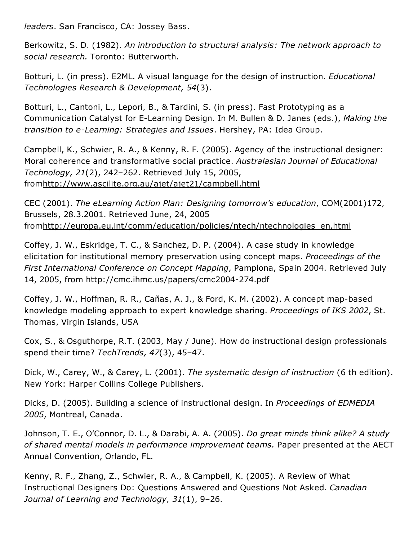*leaders*. San Francisco, CA: Jossey Bass.

Berkowitz, S. D. (1982). *An introduction to structural analysis: The network approach to social research.* Toronto: Butterworth.

Botturi, L. (in press). E2ML. A visual language for the design of instruction. *Educational Technologies Research & Development, 54*(3).

Botturi, L., Cantoni, L., Lepori, B., & Tardini, S. (in press). Fast Prototyping as a Communication Catalyst for ELearning Design. In M. Bullen & D. Janes (eds.), *Making the transition to eLearning: Strategies and Issues*. Hershey, PA: Idea Group.

Campbell, K., Schwier, R. A., & Kenny, R. F. (2005). Agency of the instructional designer: Moral coherence and transformative social practice. *Australasian Journal of Educational Technology, 21*(2), 242–262. Retrieved July 15, 2005, from<http://www.ascilite.org.au/ajet/ajet21/campbell.html>

CEC (2001). *The eLearning Action Plan: Designing tomorrow's education*, COM(2001)172, Brussels, 28.3.2001. Retrieved June, 24, 2005 from[http://europa.eu.int/comm/education/policies/ntech/ntechnologies\\_en.html](http://europa.eu.int/comm/education/policies/ntech/ntechnologies_en.html)

Coffey, J. W., Eskridge, T. C., & Sanchez, D. P. (2004). A case study in knowledge elicitation for institutional memory preservation using concept maps. *Proceedings of the First International Conference on Concept Mapping*, Pamplona, Spain 2004. Retrieved July 14, 2005, from http://cmc.ihmc.us/papers/cmc2004-274.pdf

Coffey, J. W., Hoffman, R. R., Cañas, A. J., & Ford, K. M. (2002). A concept map-based knowledge modeling approach to expert knowledge sharing. *Proceedings of IKS 2002*, St. Thomas, Virgin Islands, USA

Cox, S., & Osguthorpe, R.T. (2003, May / June). How do instructional design professionals spend their time? *TechTrends, 47*(3), 45–47.

Dick, W., Carey, W., & Carey, L. (2001). *The systematic design of instruction* (6 th edition). New York: Harper Collins College Publishers.

Dicks, D. (2005). Building a science of instructional design. In *Proceedings of EDMEDIA 2005*, Montreal, Canada.

Johnson, T. E., O'Connor, D. L., & Darabi, A. A. (2005). *Do great minds think alike? A study of shared mental models in performance improvement teams.* Paper presented at the AECT Annual Convention, Orlando, FL.

Kenny, R. F., Zhang, Z., Schwier, R. A., & Campbell, K. (2005). A Review of What Instructional Designers Do: Questions Answered and Questions Not Asked. *Canadian Journal of Learning and Technology, 31*(1), 9–26.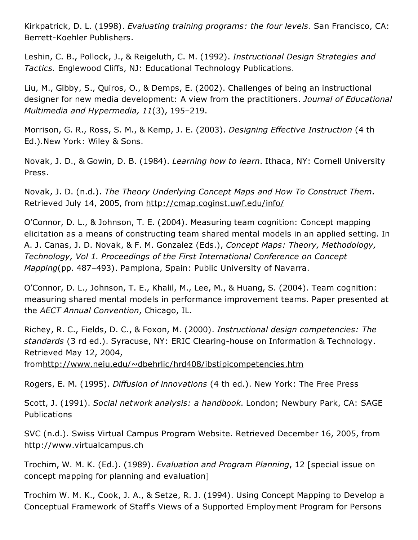Kirkpatrick, D. L. (1998). *Evaluating training programs: the four levels*. San Francisco, CA: Berrett-Koehler Publishers.

Leshin, C. B., Pollock, J., & Reigeluth, C. M. (1992). *Instructional Design Strategies and Tactics.* Englewood Cliffs, NJ: Educational Technology Publications.

Liu, M., Gibby, S., Quiros, O., & Demps, E. (2002). Challenges of being an instructional designer for new media development: A view from the practitioners. *Journal of Educational Multimedia and Hypermedia, 11*(3), 195–219.

Morrison, G. R., Ross, S. M., & Kemp, J. E. (2003). *Designing Effective Instruction* (4 th Ed.)*.*New York: Wiley & Sons.

Novak, J. D., & Gowin, D. B. (1984). *Learning how to learn*. Ithaca, NY: Cornell University Press.

Novak, J. D. (n.d.). *The Theory Underlying Concept Maps and How To Construct Them*. Retrieved July 14, 2005, from <http://cmap.coginst.uwf.edu/info/>

O'Connor, D. L., & Johnson, T. E. (2004). Measuring team cognition: Concept mapping elicitation as a means of constructing team shared mental models in an applied setting. In A. J. Canas, J. D. Novak, & F. M. Gonzalez (Eds.), *Concept Maps: Theory, Methodology, Technology, Vol 1. Proceedings of the First International Conference on Concept Mapping*(pp. 487–493). Pamplona, Spain: Public University of Navarra.

O'Connor, D. L., Johnson, T. E., Khalil, M., Lee, M., & Huang, S. (2004). Team cognition: measuring shared mental models in performance improvement teams. Paper presented at the *AECT Annual Convention*, Chicago, IL.

Richey, R. C., Fields, D. C., & Foxon, M. (2000). *Instructional design competencies: The* standards (3 rd ed.). Syracuse, NY: ERIC Clearing-house on Information & Technology. Retrieved May 12, 2004,

from<http://www.neiu.edu/~dbehrlic/hrd408/ibstipicompetencies.htm>

Rogers, E. M. (1995). *Diffusion of innovations* (4 th ed.). New York: The Free Press

Scott, J. (1991). *Social network analysis: a handbook*. London; Newbury Park, CA: SAGE **Publications** 

SVC (n.d.). Swiss Virtual Campus Program Website. Retrieved December 16, 2005, from http://www.virtualcampus.ch

Trochim, W. M. K. (Ed.). (1989). *Evaluation and Program Planning*, 12 [special issue on concept mapping for planning and evaluation]

Trochim W. M. K., Cook, J. A., & Setze, R. J. (1994). Using Concept Mapping to Develop a Conceptual Framework of Staff's Views of a Supported Employment Program for Persons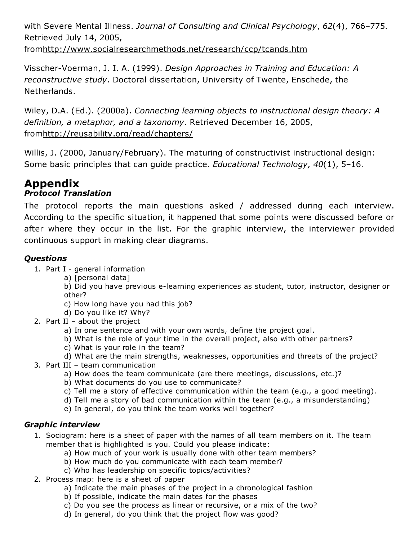with Severe Mental Illness. *Journal of Consulting and Clinical Psychology*, *62*(4), 766–775. Retrieved July 14, 2005,

from<http://www.socialresearchmethods.net/research/ccp/tcands.htm>

Visscher-Voerman, J. I. A. (1999). *Design Approaches in Training and Education: A reconstructive study*. Doctoral dissertation, University of Twente, Enschede, the Netherlands.

Wiley, D.A. (Ed.). (2000a). *Connecting learning objects to instructional design theory: A definition, a metaphor, and a taxonomy*. Retrieved December 16, 2005, from<http://reusability.org/read/chapters/>

Willis, J. (2000, January/February). The maturing of constructivist instructional design: Some basic principles that can guide practice. *Educational Technology, 40*(1), 5–16.

# Appendix

## *Protocol Translation*

The protocol reports the main questions asked / addressed during each interview. According to the specific situation, it happened that some points were discussed before or after where they occur in the list. For the graphic interview, the interviewer provided continuous support in making clear diagrams.

## *Questions*

- 1. Part  $I -$  general information
	- a) [personal data]

b) Did you have previous e-learning experiences as student, tutor, instructor, designer or other?

- c) How long have you had this job?
- d) Do you like it? Why?
- 2. Part II about the project
	- a) In one sentence and with your own words, define the project goal.
	- b) What is the role of your time in the overall project, also with other partners?
	- c) What is your role in the team?
	- d) What are the main strengths, weaknesses, opportunities and threats of the project?
- 3. Part III team communication
	- a) How does the team communicate (are there meetings, discussions, etc.)?
	- b) What documents do you use to communicate?
	- c) Tell me a story of effective communication within the team (e.g., a good meeting).
	- d) Tell me a story of bad communication within the team (e.g., a misunderstanding)
	- e) In general, do you think the team works well together?

## *Graphic interview*

- 1. Sociogram: here is a sheet of paper with the names of all team members on it. The team member that is highlighted is you. Could you please indicate:
	- a) How much of your work is usually done with other team members?
	- b) How much do you communicate with each team member?
	- c) Who has leadership on specific topics/activities?
- 2. Process map: here is a sheet of paper
	- a) Indicate the main phases of the project in a chronological fashion
	- b) If possible, indicate the main dates for the phases
	- c) Do you see the process as linear or recursive, or a mix of the two?
	- d) In general, do you think that the project flow was good?